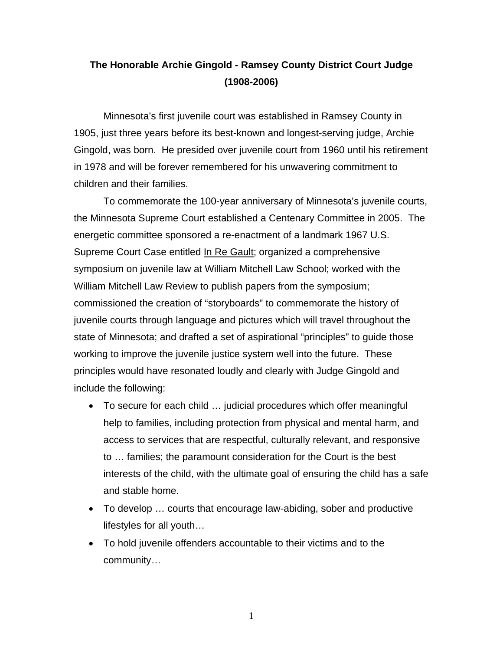## **The Honorable Archie Gingold - Ramsey County District Court Judge (1908-2006)**

 Minnesota's first juvenile court was established in Ramsey County in 1905, just three years before its best-known and longest-serving judge, Archie Gingold, was born. He presided over juvenile court from 1960 until his retirement in 1978 and will be forever remembered for his unwavering commitment to children and their families.

 To commemorate the 100-year anniversary of Minnesota's juvenile courts, the Minnesota Supreme Court established a Centenary Committee in 2005. The energetic committee sponsored a re-enactment of a landmark 1967 U.S. Supreme Court Case entitled In Re Gault; organized a comprehensive symposium on juvenile law at William Mitchell Law School; worked with the William Mitchell Law Review to publish papers from the symposium; commissioned the creation of "storyboards" to commemorate the history of juvenile courts through language and pictures which will travel throughout the state of Minnesota; and drafted a set of aspirational "principles" to guide those working to improve the juvenile justice system well into the future. These principles would have resonated loudly and clearly with Judge Gingold and include the following:

- To secure for each child … judicial procedures which offer meaningful help to families, including protection from physical and mental harm, and access to services that are respectful, culturally relevant, and responsive to … families; the paramount consideration for the Court is the best interests of the child, with the ultimate goal of ensuring the child has a safe and stable home.
- To develop … courts that encourage law-abiding, sober and productive lifestyles for all youth…
- To hold juvenile offenders accountable to their victims and to the community…

1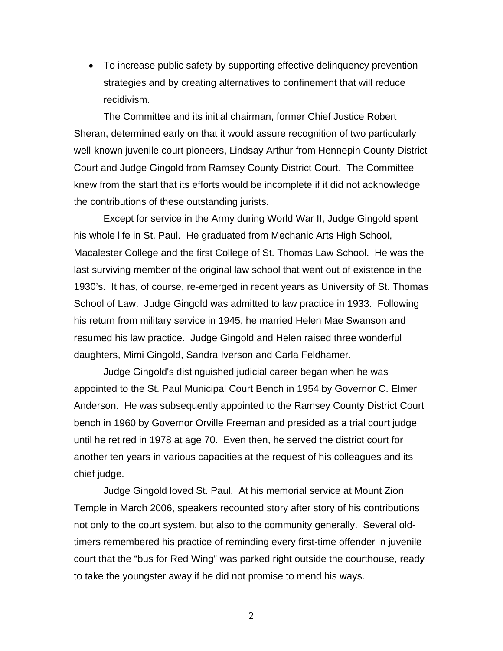• To increase public safety by supporting effective delinquency prevention strategies and by creating alternatives to confinement that will reduce recidivism.

 The Committee and its initial chairman, former Chief Justice Robert Sheran, determined early on that it would assure recognition of two particularly well-known juvenile court pioneers, Lindsay Arthur from Hennepin County District Court and Judge Gingold from Ramsey County District Court. The Committee knew from the start that its efforts would be incomplete if it did not acknowledge the contributions of these outstanding jurists.

Except for service in the Army during World War II, Judge Gingold spent his whole life in St. Paul. He graduated from Mechanic Arts High School, Macalester College and the first College of St. Thomas Law School. He was the last surviving member of the original law school that went out of existence in the 1930's. It has, of course, re-emerged in recent years as University of St. Thomas School of Law. Judge Gingold was admitted to law practice in 1933. Following his return from military service in 1945, he married Helen Mae Swanson and resumed his law practice. Judge Gingold and Helen raised three wonderful daughters, Mimi Gingold, Sandra Iverson and Carla Feldhamer.

Judge Gingold's distinguished judicial career began when he was appointed to the St. Paul Municipal Court Bench in 1954 by Governor C. Elmer Anderson. He was subsequently appointed to the Ramsey County District Court bench in 1960 by Governor Orville Freeman and presided as a trial court judge until he retired in 1978 at age 70. Even then, he served the district court for another ten years in various capacities at the request of his colleagues and its chief judge.

Judge Gingold loved St. Paul. At his memorial service at Mount Zion Temple in March 2006, speakers recounted story after story of his contributions not only to the court system, but also to the community generally. Several oldtimers remembered his practice of reminding every first-time offender in juvenile court that the "bus for Red Wing" was parked right outside the courthouse, ready to take the youngster away if he did not promise to mend his ways.

2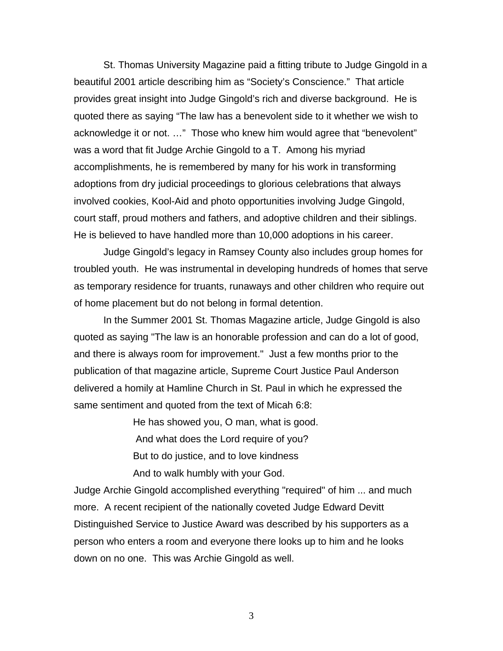St. Thomas University Magazine paid a fitting tribute to Judge Gingold in a beautiful 2001 article describing him as "Society's Conscience." That article provides great insight into Judge Gingold's rich and diverse background. He is quoted there as saying "The law has a benevolent side to it whether we wish to acknowledge it or not. …" Those who knew him would agree that "benevolent" was a word that fit Judge Archie Gingold to a T. Among his myriad accomplishments, he is remembered by many for his work in transforming adoptions from dry judicial proceedings to glorious celebrations that always involved cookies, Kool-Aid and photo opportunities involving Judge Gingold, court staff, proud mothers and fathers, and adoptive children and their siblings. He is believed to have handled more than 10,000 adoptions in his career.

Judge Gingold's legacy in Ramsey County also includes group homes for troubled youth. He was instrumental in developing hundreds of homes that serve as temporary residence for truants, runaways and other children who require out of home placement but do not belong in formal detention.

In the Summer 2001 St. Thomas Magazine article, Judge Gingold is also quoted as saying "The law is an honorable profession and can do a lot of good, and there is always room for improvement." Just a few months prior to the publication of that magazine article, Supreme Court Justice Paul Anderson delivered a homily at Hamline Church in St. Paul in which he expressed the same sentiment and quoted from the text of Micah 6:8:

He has showed you, O man, what is good.

 And what does the Lord require of you? But to do justice, and to love kindness And to walk humbly with your God.

Judge Archie Gingold accomplished everything "required" of him ... and much more. A recent recipient of the nationally coveted Judge Edward Devitt Distinguished Service to Justice Award was described by his supporters as a person who enters a room and everyone there looks up to him and he looks down on no one. This was Archie Gingold as well.

3